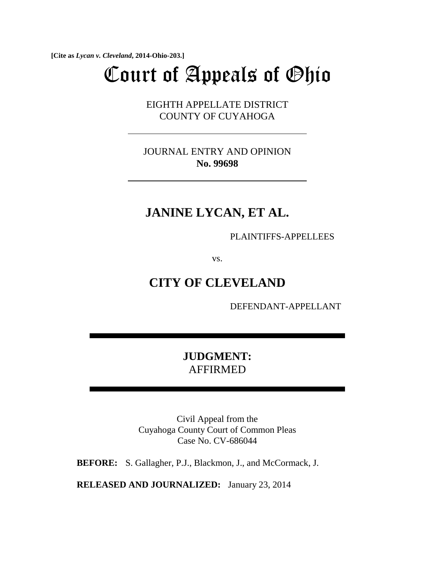**[Cite as** *Lycan v. Cleveland***, 2014-Ohio-203.]**

# Court of Appeals of Ohio

EIGHTH APPELLATE DISTRICT COUNTY OF CUYAHOGA

JOURNAL ENTRY AND OPINION **No. 99698**

# **JANINE LYCAN, ET AL.**

PLAINTIFFS-APPELLEES

vs.

# **CITY OF CLEVELAND**

DEFENDANT-APPELLANT

## **JUDGMENT:**  AFFIRMED

Civil Appeal from the Cuyahoga County Court of Common Pleas Case No. CV-686044

**BEFORE:** S. Gallagher, P.J., Blackmon, J., and McCormack, J.

**RELEASED AND JOURNALIZED:** January 23, 2014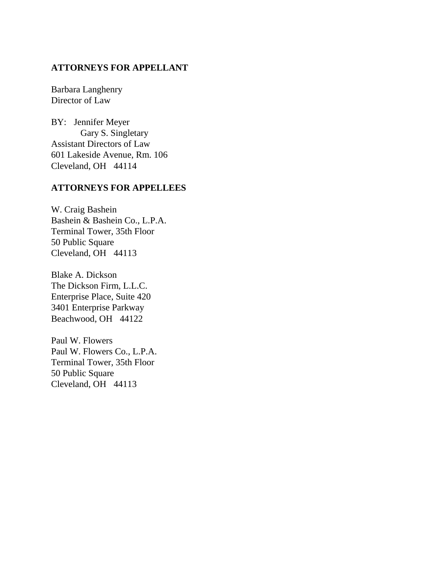## **ATTORNEYS FOR APPELLANT**

Barbara Langhenry Director of Law

BY: Jennifer Meyer Gary S. Singletary Assistant Directors of Law 601 Lakeside Avenue, Rm. 106 Cleveland, OH 44114

## **ATTORNEYS FOR APPELLEES**

W. Craig Bashein Bashein & Bashein Co., L.P.A. Terminal Tower, 35th Floor 50 Public Square Cleveland, OH 44113

Blake A. Dickson The Dickson Firm, L.L.C. Enterprise Place, Suite 420 3401 Enterprise Parkway Beachwood, OH 44122

Paul W. Flowers Paul W. Flowers Co., L.P.A. Terminal Tower, 35th Floor 50 Public Square Cleveland, OH 44113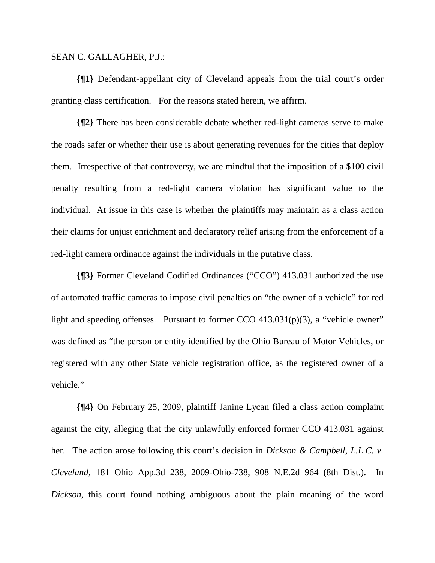#### SEAN C. GALLAGHER, P.J.:

**{¶1}** Defendant-appellant city of Cleveland appeals from the trial court's order granting class certification. For the reasons stated herein, we affirm.

**{¶2}** There has been considerable debate whether red-light cameras serve to make the roads safer or whether their use is about generating revenues for the cities that deploy them. Irrespective of that controversy, we are mindful that the imposition of a \$100 civil penalty resulting from a red-light camera violation has significant value to the individual. At issue in this case is whether the plaintiffs may maintain as a class action their claims for unjust enrichment and declaratory relief arising from the enforcement of a red-light camera ordinance against the individuals in the putative class.

**{¶3}** Former Cleveland Codified Ordinances ("CCO") 413.031 authorized the use of automated traffic cameras to impose civil penalties on "the owner of a vehicle" for red light and speeding offenses. Pursuant to former CCO 413.031(p)(3), a "vehicle owner" was defined as "the person or entity identified by the Ohio Bureau of Motor Vehicles, or registered with any other State vehicle registration office, as the registered owner of a vehicle."

**{¶4}** On February 25, 2009, plaintiff Janine Lycan filed a class action complaint against the city, alleging that the city unlawfully enforced former CCO 413.031 against her. The action arose following this court's decision in *Dickson & Campbell, L.L.C. v. Cleveland*, 181 Ohio App.3d 238, 2009-Ohio-738, 908 N.E.2d 964 (8th Dist.). In *Dickson*, this court found nothing ambiguous about the plain meaning of the word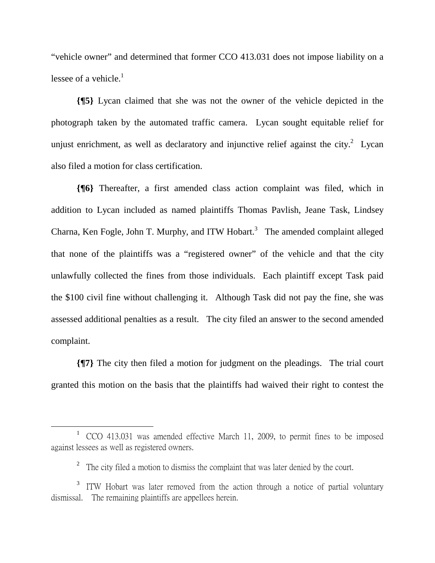"vehicle owner" and determined that former CCO 413.031 does not impose liability on a lessee of a vehicle. $<sup>1</sup>$ </sup>

**{¶5}** Lycan claimed that she was not the owner of the vehicle depicted in the photograph taken by the automated traffic camera. Lycan sought equitable relief for unjust enrichment, as well as declaratory and injunctive relief against the city. $^{2}$  Lycan also filed a motion for class certification.

**{¶6}** Thereafter, a first amended class action complaint was filed, which in addition to Lycan included as named plaintiffs Thomas Pavlish, Jeane Task, Lindsey Charna, Ken Fogle, John T. Murphy, and ITW Hobart.<sup>3</sup> The amended complaint alleged that none of the plaintiffs was a "registered owner" of the vehicle and that the city unlawfully collected the fines from those individuals. Each plaintiff except Task paid the \$100 civil fine without challenging it. Although Task did not pay the fine, she was assessed additional penalties as a result. The city filed an answer to the second amended complaint.

**{¶7}** The city then filed a motion for judgment on the pleadings. The trial court granted this motion on the basis that the plaintiffs had waived their right to contest the

 $\frac{1}{1}$ <sup>1</sup> CCO 413.031 was amended effective March 11, 2009, to permit fines to be imposed against lessees as well as registered owners.

<sup>&</sup>lt;sup>2</sup> The city filed a motion to dismiss the complaint that was later denied by the court.

<sup>3</sup> ITW Hobart was later removed from the action through a notice of partial voluntary dismissal. The remaining plaintiffs are appellees herein.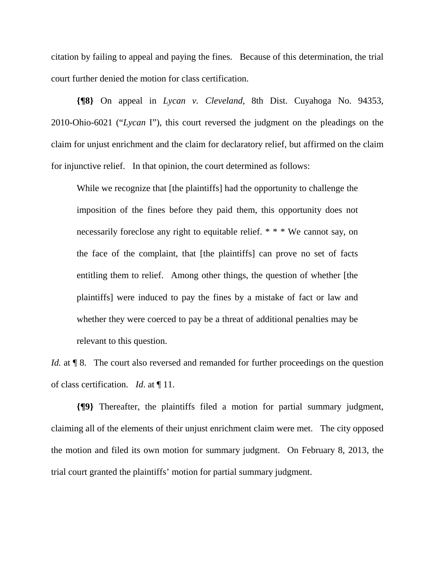citation by failing to appeal and paying the fines. Because of this determination, the trial court further denied the motion for class certification.

**{¶8}** On appeal in *Lycan v. Cleveland*, 8th Dist. Cuyahoga No. 94353, 2010-Ohio-6021 ("*Lycan* I"), this court reversed the judgment on the pleadings on the claim for unjust enrichment and the claim for declaratory relief, but affirmed on the claim for injunctive relief. In that opinion, the court determined as follows:

While we recognize that [the plaintiffs] had the opportunity to challenge the imposition of the fines before they paid them, this opportunity does not necessarily foreclose any right to equitable relief. \* \* \* We cannot say, on the face of the complaint, that [the plaintiffs] can prove no set of facts entitling them to relief. Among other things, the question of whether [the plaintiffs] were induced to pay the fines by a mistake of fact or law and whether they were coerced to pay be a threat of additional penalties may be relevant to this question.

*Id.* at  $\P$  8. The court also reversed and remanded for further proceedings on the question of class certification. *Id*. at ¶ 11.

**{¶9}** Thereafter, the plaintiffs filed a motion for partial summary judgment, claiming all of the elements of their unjust enrichment claim were met. The city opposed the motion and filed its own motion for summary judgment. On February 8, 2013, the trial court granted the plaintiffs' motion for partial summary judgment.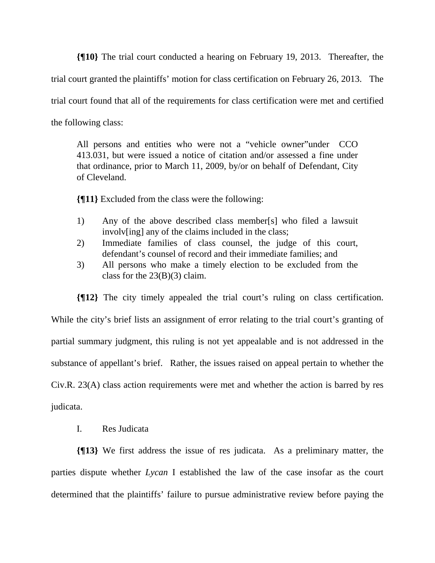**{¶10}** The trial court conducted a hearing on February 19, 2013. Thereafter, the trial court granted the plaintiffs' motion for class certification on February 26, 2013. The trial court found that all of the requirements for class certification were met and certified the following class:

All persons and entities who were not a "vehicle owner"under CCO 413.031, but were issued a notice of citation and/or assessed a fine under that ordinance, prior to March 11, 2009, by/or on behalf of Defendant, City of Cleveland.

**{¶11}** Excluded from the class were the following:

- 1) Any of the above described class member[s] who filed a lawsuit involv[ing] any of the claims included in the class;
- 2) Immediate families of class counsel, the judge of this court, defendant's counsel of record and their immediate families; and
- 3) All persons who make a timely election to be excluded from the class for the  $23(B)(3)$  claim.

**{¶12}** The city timely appealed the trial court's ruling on class certification. While the city's brief lists an assignment of error relating to the trial court's granting of partial summary judgment, this ruling is not yet appealable and is not addressed in the substance of appellant's brief. Rather, the issues raised on appeal pertain to whether the Civ.R. 23(A) class action requirements were met and whether the action is barred by res judicata.

I. Res Judicata

**{¶13}** We first address the issue of res judicata. As a preliminary matter, the parties dispute whether *Lycan* I established the law of the case insofar as the court determined that the plaintiffs' failure to pursue administrative review before paying the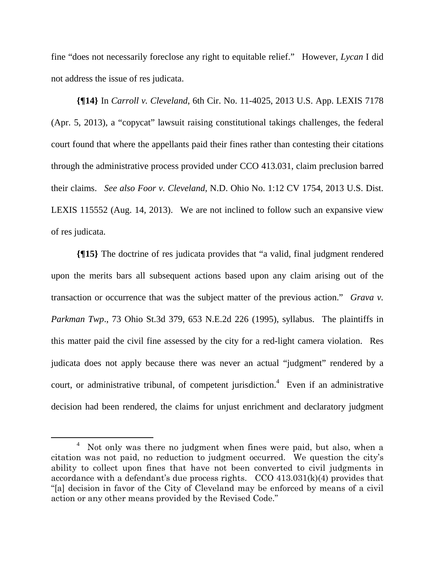fine "does not necessarily foreclose any right to equitable relief." However, *Lycan* I did not address the issue of res judicata.

**{¶14}** In *Carroll v. Cleveland*, 6th Cir. No. 11-4025, 2013 U.S. App. LEXIS 7178 (Apr. 5, 2013), a "copycat" lawsuit raising constitutional takings challenges, the federal court found that where the appellants paid their fines rather than contesting their citations through the administrative process provided under CCO 413.031, claim preclusion barred their claims. *See also Foor v. Cleveland*, N.D. Ohio No. 1:12 CV 1754, 2013 U.S. Dist. LEXIS 115552 (Aug. 14, 2013). We are not inclined to follow such an expansive view of res judicata.

**{¶15}** The doctrine of res judicata provides that "a valid, final judgment rendered upon the merits bars all subsequent actions based upon any claim arising out of the transaction or occurrence that was the subject matter of the previous action." *Grava v. Parkman Twp*., 73 Ohio St.3d 379, 653 N.E.2d 226 (1995), syllabus. The plaintiffs in this matter paid the civil fine assessed by the city for a red-light camera violation. Res judicata does not apply because there was never an actual "judgment" rendered by a court, or administrative tribunal, of competent jurisdiction.<sup>4</sup> Even if an administrative decision had been rendered, the claims for unjust enrichment and declaratory judgment

 $\overline{\phantom{a}}$  Not only was there no judgment when fines were paid, but also, when a citation was not paid, no reduction to judgment occurred. We question the city's ability to collect upon fines that have not been converted to civil judgments in accordance with a defendant's due process rights. CCO 413.031(k)(4) provides that "[a] decision in favor of the City of Cleveland may be enforced by means of a civil action or any other means provided by the Revised Code."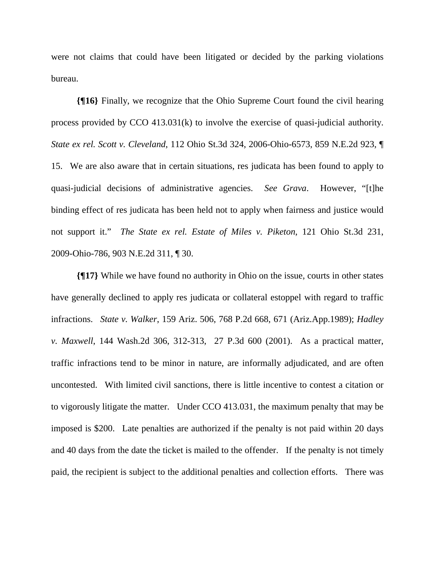were not claims that could have been litigated or decided by the parking violations bureau.

**{¶16}** Finally, we recognize that the Ohio Supreme Court found the civil hearing process provided by CCO 413.031(k) to involve the exercise of quasi-judicial authority. *State ex rel. Scott v. Cleveland*, 112 Ohio St.3d 324, 2006-Ohio-6573, 859 N.E.2d 923, ¶ 15. We are also aware that in certain situations, res judicata has been found to apply to quasi-judicial decisions of administrative agencies. *See Grava*. However, "[t]he binding effect of res judicata has been held not to apply when fairness and justice would not support it." *The State ex rel. Estate of Miles v. Piketon*, 121 Ohio St.3d 231, 2009-Ohio-786, 903 N.E.2d 311, ¶ 30.

**{¶17}** While we have found no authority in Ohio on the issue, courts in other states have generally declined to apply res judicata or collateral estoppel with regard to traffic infractions. *State v. Walker*, 159 Ariz. 506, 768 P.2d 668, 671 (Ariz.App.1989); *Hadley v. Maxwell*, 144 Wash.2d 306, 312-313, 27 P.3d 600 (2001). As a practical matter, traffic infractions tend to be minor in nature, are informally adjudicated, and are often uncontested. With limited civil sanctions, there is little incentive to contest a citation or to vigorously litigate the matter. Under CCO 413.031, the maximum penalty that may be imposed is \$200. Late penalties are authorized if the penalty is not paid within 20 days and 40 days from the date the ticket is mailed to the offender. If the penalty is not timely paid, the recipient is subject to the additional penalties and collection efforts. There was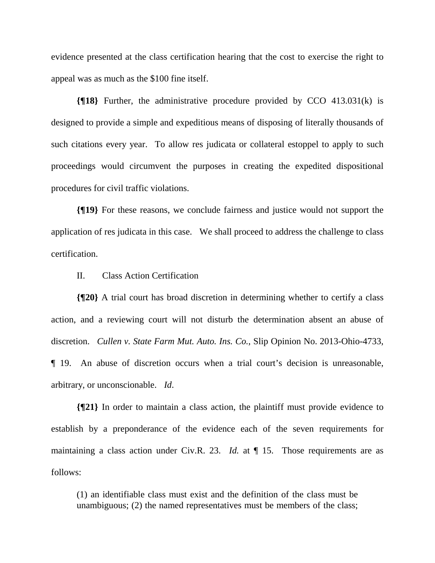evidence presented at the class certification hearing that the cost to exercise the right to appeal was as much as the \$100 fine itself.

**{¶18}** Further, the administrative procedure provided by CCO 413.031(k) is designed to provide a simple and expeditious means of disposing of literally thousands of such citations every year. To allow res judicata or collateral estoppel to apply to such proceedings would circumvent the purposes in creating the expedited dispositional procedures for civil traffic violations.

**{¶19}** For these reasons, we conclude fairness and justice would not support the application of res judicata in this case. We shall proceed to address the challenge to class certification.

II. Class Action Certification

**{¶20}** A trial court has broad discretion in determining whether to certify a class action, and a reviewing court will not disturb the determination absent an abuse of discretion. *Cullen v. State Farm Mut. Auto. Ins. Co.*, Slip Opinion No. 2013-Ohio-4733, ¶ 19. An abuse of discretion occurs when a trial court's decision is unreasonable, arbitrary, or unconscionable. *Id*.

**{¶21}** In order to maintain a class action, the plaintiff must provide evidence to establish by a preponderance of the evidence each of the seven requirements for maintaining a class action under Civ.R. 23. *Id.* at  $\P$  15. Those requirements are as follows:

(1) an identifiable class must exist and the definition of the class must be unambiguous; (2) the named representatives must be members of the class;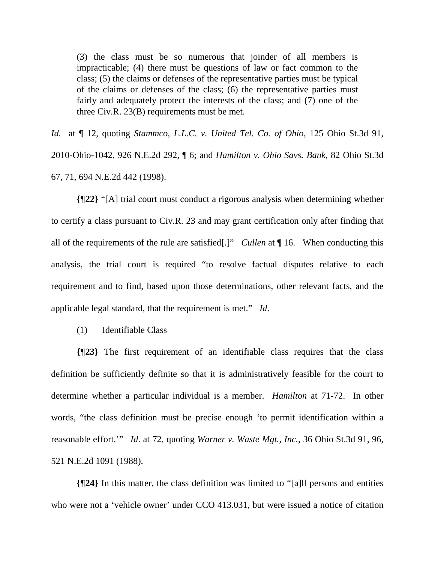(3) the class must be so numerous that joinder of all members is impracticable; (4) there must be questions of law or fact common to the class; (5) the claims or defenses of the representative parties must be typical of the claims or defenses of the class; (6) the representative parties must fairly and adequately protect the interests of the class; and (7) one of the three Civ.R. 23(B) requirements must be met.

*Id.* at ¶ 12, quoting *Stammco, L.L.C. v. United Tel. Co. of Ohio*, 125 Ohio St.3d 91, 2010-Ohio-1042, 926 N.E.2d 292, ¶ 6; and *Hamilton v. Ohio Savs. Bank*, 82 Ohio St.3d 67, 71, 694 N.E.2d 442 (1998).

**{¶22}** "[A] trial court must conduct a rigorous analysis when determining whether to certify a class pursuant to Civ.R. 23 and may grant certification only after finding that all of the requirements of the rule are satisfied[.]" *Cullen* at ¶ 16. When conducting this analysis, the trial court is required "to resolve factual disputes relative to each requirement and to find, based upon those determinations, other relevant facts, and the applicable legal standard, that the requirement is met." *Id*.

(1) Identifiable Class

**{¶23}** The first requirement of an identifiable class requires that the class definition be sufficiently definite so that it is administratively feasible for the court to determine whether a particular individual is a member. *Hamilton* at 71-72. In other words, "the class definition must be precise enough 'to permit identification within a reasonable effort.'" *Id*. at 72, quoting *Warner v. Waste Mgt., Inc.*, 36 Ohio St.3d 91, 96, 521 N.E.2d 1091 (1988).

**{¶24}** In this matter, the class definition was limited to "[a]ll persons and entities who were not a 'vehicle owner' under CCO 413.031, but were issued a notice of citation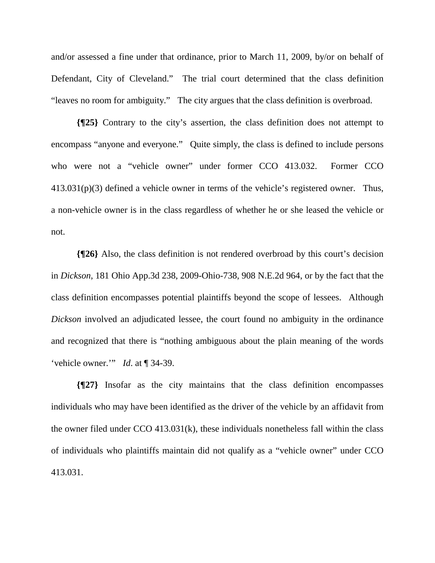and/or assessed a fine under that ordinance, prior to March 11, 2009, by/or on behalf of Defendant, City of Cleveland." The trial court determined that the class definition "leaves no room for ambiguity." The city argues that the class definition is overbroad.

**{¶25}** Contrary to the city's assertion, the class definition does not attempt to encompass "anyone and everyone." Quite simply, the class is defined to include persons who were not a "vehicle owner" under former CCO 413.032. Former CCO 413.031(p)(3) defined a vehicle owner in terms of the vehicle's registered owner. Thus, a non-vehicle owner is in the class regardless of whether he or she leased the vehicle or not.

**{¶26}** Also, the class definition is not rendered overbroad by this court's decision in *Dickson*, 181 Ohio App.3d 238, 2009-Ohio-738, 908 N.E.2d 964, or by the fact that the class definition encompasses potential plaintiffs beyond the scope of lessees. Although *Dickson* involved an adjudicated lessee, the court found no ambiguity in the ordinance and recognized that there is "nothing ambiguous about the plain meaning of the words 'vehicle owner.'" *Id*. at ¶ 34-39.

**{¶27}** Insofar as the city maintains that the class definition encompasses individuals who may have been identified as the driver of the vehicle by an affidavit from the owner filed under CCO 413.031(k), these individuals nonetheless fall within the class of individuals who plaintiffs maintain did not qualify as a "vehicle owner" under CCO 413.031.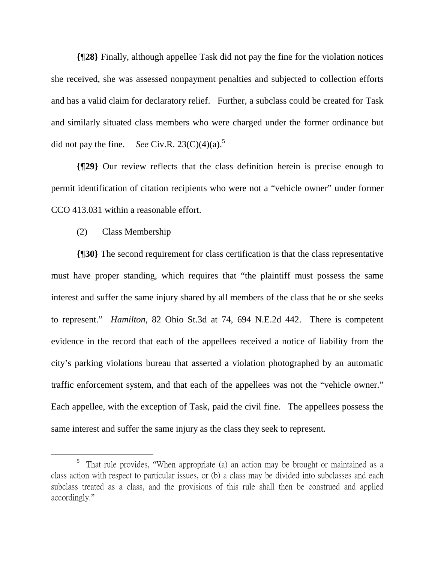**{¶28}** Finally, although appellee Task did not pay the fine for the violation notices she received, she was assessed nonpayment penalties and subjected to collection efforts and has a valid claim for declaratory relief. Further, a subclass could be created for Task and similarly situated class members who were charged under the former ordinance but did not pay the fine. *See* Civ.R.  $23(C)(4)(a)$ .<sup>5</sup>

**{¶29}** Our review reflects that the class definition herein is precise enough to permit identification of citation recipients who were not a "vehicle owner" under former CCO 413.031 within a reasonable effort.

### (2) Class Membership

**{¶30}** The second requirement for class certification is that the class representative must have proper standing, which requires that "the plaintiff must possess the same interest and suffer the same injury shared by all members of the class that he or she seeks to represent." *Hamilton*, 82 Ohio St.3d at 74, 694 N.E.2d 442. There is competent evidence in the record that each of the appellees received a notice of liability from the city's parking violations bureau that asserted a violation photographed by an automatic traffic enforcement system, and that each of the appellees was not the "vehicle owner." Each appellee, with the exception of Task, paid the civil fine. The appellees possess the same interest and suffer the same injury as the class they seek to represent.

 $\frac{1}{5}$ <sup>5</sup> That rule provides, "When appropriate (a) an action may be brought or maintained as a class action with respect to particular issues, or (b) a class may be divided into subclasses and each subclass treated as a class, and the provisions of this rule shall then be construed and applied accordingly."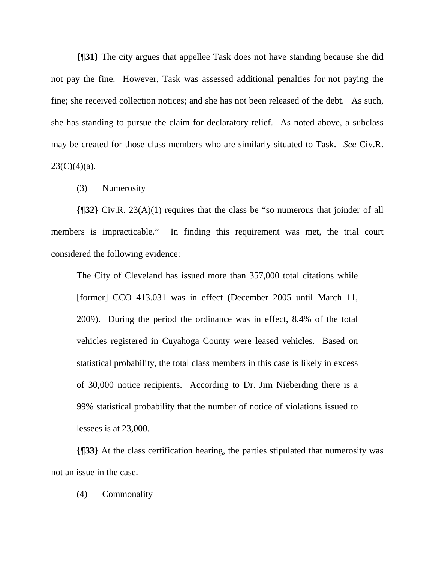**{¶31}** The city argues that appellee Task does not have standing because she did not pay the fine. However, Task was assessed additional penalties for not paying the fine; she received collection notices; and she has not been released of the debt. As such, she has standing to pursue the claim for declaratory relief. As noted above, a subclass may be created for those class members who are similarly situated to Task. *See* Civ.R.  $23(C)(4)(a)$ .

(3) Numerosity

**{¶32}** Civ.R. 23(A)(1) requires that the class be "so numerous that joinder of all members is impracticable." In finding this requirement was met, the trial court considered the following evidence:

The City of Cleveland has issued more than 357,000 total citations while [former] CCO 413.031 was in effect (December 2005 until March 11, 2009). During the period the ordinance was in effect, 8.4% of the total vehicles registered in Cuyahoga County were leased vehicles. Based on statistical probability, the total class members in this case is likely in excess of 30,000 notice recipients. According to Dr. Jim Nieberding there is a 99% statistical probability that the number of notice of violations issued to lessees is at 23,000.

**{¶33}** At the class certification hearing, the parties stipulated that numerosity was not an issue in the case.

(4) Commonality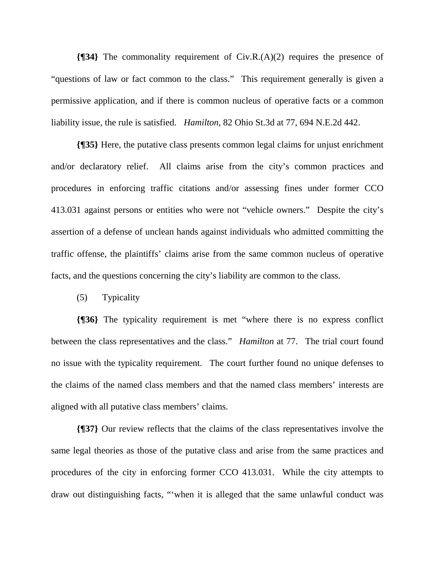**{¶34}** The commonality requirement of Civ.R.(A)(2) requires the presence of "questions of law or fact common to the class." This requirement generally is given a permissive application, and if there is common nucleus of operative facts or a common liability issue, the rule is satisfied. *Hamilton*, 82 Ohio St.3d at 77, 694 N.E.2d 442.

**{¶35}** Here, the putative class presents common legal claims for unjust enrichment and/or declaratory relief. All claims arise from the city's common practices and procedures in enforcing traffic citations and/or assessing fines under former CCO 413.031 against persons or entities who were not "vehicle owners." Despite the city's assertion of a defense of unclean hands against individuals who admitted committing the traffic offense, the plaintiffs' claims arise from the same common nucleus of operative facts, and the questions concerning the city's liability are common to the class.

(5) Typicality

**{¶36}** The typicality requirement is met "where there is no express conflict between the class representatives and the class." *Hamilton* at 77. The trial court found no issue with the typicality requirement. The court further found no unique defenses to the claims of the named class members and that the named class members' interests are aligned with all putative class members' claims.

**{¶37}** Our review reflects that the claims of the class representatives involve the same legal theories as those of the putative class and arise from the same practices and procedures of the city in enforcing former CCO 413.031. While the city attempts to draw out distinguishing facts, "'when it is alleged that the same unlawful conduct was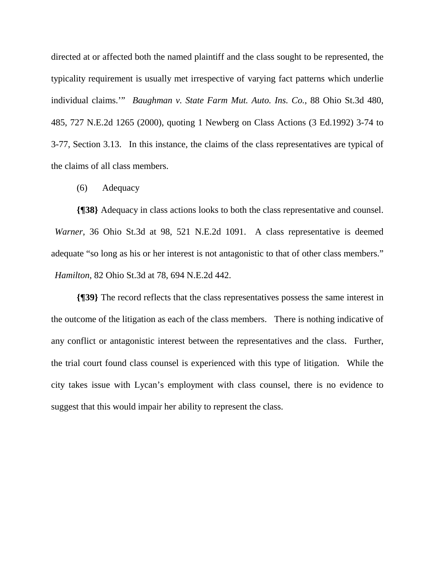directed at or affected both the named plaintiff and the class sought to be represented, the typicality requirement is usually met irrespective of varying fact patterns which underlie individual claims.'" *Baughman v. State Farm Mut. Auto. Ins. Co.*, 88 Ohio St.3d 480, 485, 727 N.E.2d 1265 (2000), quoting 1 Newberg on Class Actions (3 Ed.1992) 3-74 to 3-77, Section 3.13. In this instance, the claims of the class representatives are typical of the claims of all class members.

(6) Adequacy

**{¶38}** Adequacy in class actions looks to both the class representative and counsel. *Warner*, 36 Ohio St.3d at 98, 521 N.E.2d 1091. A class representative is deemed adequate "so long as his or her interest is not antagonistic to that of other class members." *Hamilton*, 82 Ohio St.3d at 78, 694 N.E.2d 442.

**{¶39}** The record reflects that the class representatives possess the same interest in the outcome of the litigation as each of the class members. There is nothing indicative of any conflict or antagonistic interest between the representatives and the class. Further, the trial court found class counsel is experienced with this type of litigation. While the city takes issue with Lycan's employment with class counsel, there is no evidence to suggest that this would impair her ability to represent the class.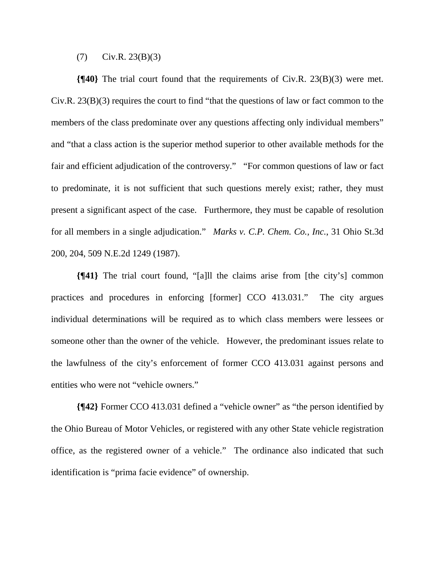#### $(Y)$  Civ.R. 23(B)(3)

**{¶40}** The trial court found that the requirements of Civ.R. 23(B)(3) were met. Civ.R. 23(B)(3) requires the court to find "that the questions of law or fact common to the members of the class predominate over any questions affecting only individual members" and "that a class action is the superior method superior to other available methods for the fair and efficient adjudication of the controversy." "For common questions of law or fact to predominate, it is not sufficient that such questions merely exist; rather, they must present a significant aspect of the case. Furthermore, they must be capable of resolution for all members in a single adjudication." *Marks v. C.P. Chem. Co., Inc.*, 31 Ohio St.3d 200, 204, 509 N.E.2d 1249 (1987).

**{¶41}** The trial court found, "[a]ll the claims arise from [the city's] common practices and procedures in enforcing [former] CCO 413.031." The city argues individual determinations will be required as to which class members were lessees or someone other than the owner of the vehicle. However, the predominant issues relate to the lawfulness of the city's enforcement of former CCO 413.031 against persons and entities who were not "vehicle owners."

**{¶42}** Former CCO 413.031 defined a "vehicle owner" as "the person identified by the Ohio Bureau of Motor Vehicles, or registered with any other State vehicle registration office, as the registered owner of a vehicle." The ordinance also indicated that such identification is "prima facie evidence" of ownership.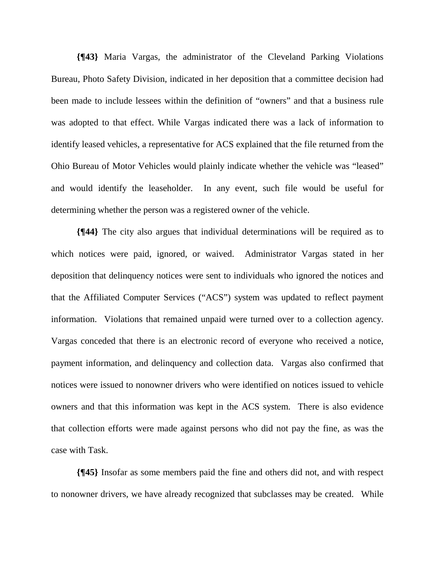**{¶43}** Maria Vargas, the administrator of the Cleveland Parking Violations Bureau, Photo Safety Division, indicated in her deposition that a committee decision had been made to include lessees within the definition of "owners" and that a business rule was adopted to that effect. While Vargas indicated there was a lack of information to identify leased vehicles, a representative for ACS explained that the file returned from the Ohio Bureau of Motor Vehicles would plainly indicate whether the vehicle was "leased" and would identify the leaseholder. In any event, such file would be useful for determining whether the person was a registered owner of the vehicle.

**{¶44}** The city also argues that individual determinations will be required as to which notices were paid, ignored, or waived. Administrator Vargas stated in her deposition that delinquency notices were sent to individuals who ignored the notices and that the Affiliated Computer Services ("ACS") system was updated to reflect payment information. Violations that remained unpaid were turned over to a collection agency. Vargas conceded that there is an electronic record of everyone who received a notice, payment information, and delinquency and collection data. Vargas also confirmed that notices were issued to nonowner drivers who were identified on notices issued to vehicle owners and that this information was kept in the ACS system. There is also evidence that collection efforts were made against persons who did not pay the fine, as was the case with Task.

**{¶45}** Insofar as some members paid the fine and others did not, and with respect to nonowner drivers, we have already recognized that subclasses may be created. While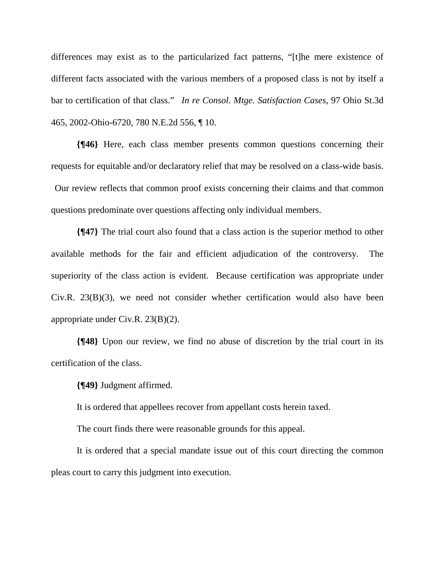differences may exist as to the particularized fact patterns, "[t]he mere existence of different facts associated with the various members of a proposed class is not by itself a bar to certification of that class." *In re Consol. Mtge. Satisfaction Cases*, 97 Ohio St.3d 465, 2002-Ohio-6720, 780 N.E.2d 556, ¶ 10.

**{¶46}** Here, each class member presents common questions concerning their requests for equitable and/or declaratory relief that may be resolved on a class-wide basis. Our review reflects that common proof exists concerning their claims and that common questions predominate over questions affecting only individual members.

**{¶47}** The trial court also found that a class action is the superior method to other available methods for the fair and efficient adjudication of the controversy. The superiority of the class action is evident. Because certification was appropriate under Civ.R. 23(B)(3), we need not consider whether certification would also have been appropriate under Civ.R. 23(B)(2).

**{¶48}** Upon our review, we find no abuse of discretion by the trial court in its certification of the class.

**{¶49}** Judgment affirmed.

It is ordered that appellees recover from appellant costs herein taxed.

The court finds there were reasonable grounds for this appeal.

It is ordered that a special mandate issue out of this court directing the common pleas court to carry this judgment into execution.